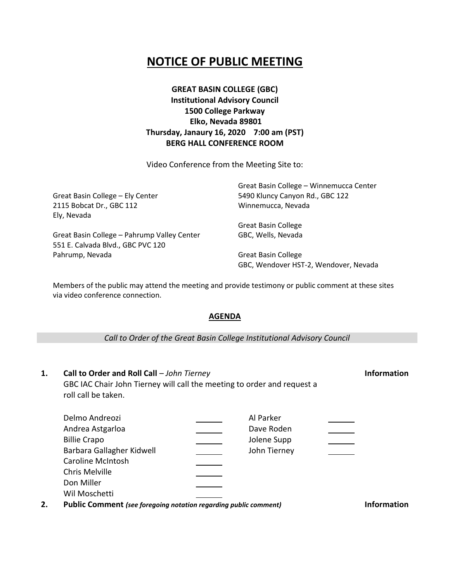## **NOTICE OF PUBLIC MEETING**

**GREAT BASIN COLLEGE (GBC) Institutional Advisory Council 1500 College Parkway Elko, Nevada 89801 Thursday, Janaury 16, 2020 7:00 am (PST) BERG HALL CONFERENCE ROOM**

Video Conference from the Meeting Site to:

|                                             | Great Basin College - Winnemucca Center |
|---------------------------------------------|-----------------------------------------|
| Great Basin College - Ely Center            | 5490 Kluncy Canyon Rd., GBC 122         |
| 2115 Bobcat Dr., GBC 112                    | Winnemucca, Nevada                      |
| Ely, Nevada                                 |                                         |
|                                             | <b>Great Basin College</b>              |
| Great Basin College - Pahrump Valley Center | GBC, Wells, Nevada                      |
| 551 E. Calvada Blvd., GBC PVC 120           |                                         |
| Pahrump, Nevada                             | <b>Great Basin College</b>              |
|                                             | GBC, Wendover HST-2, Wendover, Nevada   |

Members of the public may attend the meeting and provide testimony or public comment at these sites via video conference connection.

## **AGENDA**

## *Call to Order of the Great Basin College Institutional Advisory Council*

| 1. | Call to Order and Roll Call - John Tierney<br>GBC IAC Chair John Tierney will call the meeting to order and request a<br>roll call be taken. |                                                        |  |
|----|----------------------------------------------------------------------------------------------------------------------------------------------|--------------------------------------------------------|--|
|    | Delmo Andreozi<br>Andrea Astgarloa<br><b>Billie Crapo</b><br>Barbara Gallagher Kidwell<br><b>Caroline McIntosh</b>                           | Al Parker<br>Dave Roden<br>Jolene Supp<br>John Tierney |  |

**2. Public Comment** *(see foregoing notation regarding public comment)* **Information**

Chris Melville Don Miller Wil Moschetti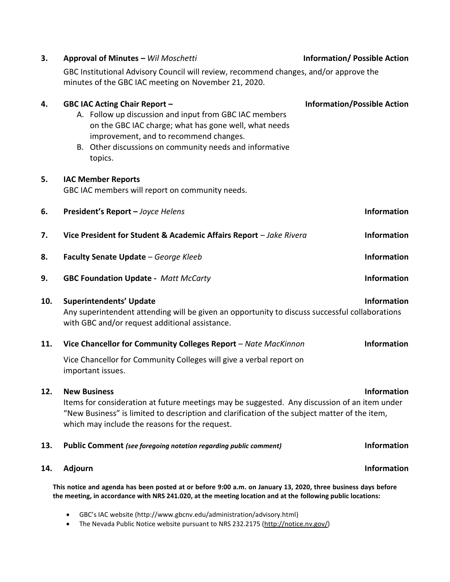| 3.                                                                                                                                                                                                                           | Approval of Minutes - Wil Moschetti                                                                                                                                                                                                                                     | <b>Information/ Possible Action</b> |  |  |
|------------------------------------------------------------------------------------------------------------------------------------------------------------------------------------------------------------------------------|-------------------------------------------------------------------------------------------------------------------------------------------------------------------------------------------------------------------------------------------------------------------------|-------------------------------------|--|--|
|                                                                                                                                                                                                                              | GBC Institutional Advisory Council will review, recommend changes, and/or approve the<br>minutes of the GBC IAC meeting on November 21, 2020.                                                                                                                           |                                     |  |  |
| 4.                                                                                                                                                                                                                           | <b>GBC IAC Acting Chair Report -</b><br>A. Follow up discussion and input from GBC IAC members<br>on the GBC IAC charge; what has gone well, what needs<br>improvement, and to recommend changes.<br>B. Other discussions on community needs and informative<br>topics. | <b>Information/Possible Action</b>  |  |  |
| 5.                                                                                                                                                                                                                           | <b>IAC Member Reports</b><br>GBC IAC members will report on community needs.                                                                                                                                                                                            |                                     |  |  |
| 6.                                                                                                                                                                                                                           | President's Report - Joyce Helens                                                                                                                                                                                                                                       | <b>Information</b>                  |  |  |
| 7.                                                                                                                                                                                                                           | Vice President for Student & Academic Affairs Report - Jake Rivera                                                                                                                                                                                                      | <b>Information</b>                  |  |  |
| 8.                                                                                                                                                                                                                           | Faculty Senate Update - George Kleeb                                                                                                                                                                                                                                    | <b>Information</b>                  |  |  |
| 9.                                                                                                                                                                                                                           | <b>GBC Foundation Update - Matt McCarty</b>                                                                                                                                                                                                                             | <b>Information</b>                  |  |  |
| 10.                                                                                                                                                                                                                          | <b>Information</b><br><b>Superintendents' Update</b><br>Any superintendent attending will be given an opportunity to discuss successful collaborations<br>with GBC and/or request additional assistance.                                                                |                                     |  |  |
| 11.                                                                                                                                                                                                                          | Vice Chancellor for Community Colleges Report - Nate MacKinnon                                                                                                                                                                                                          | Information                         |  |  |
|                                                                                                                                                                                                                              | Vice Chancellor for Community Colleges will give a verbal report on<br>important issues.                                                                                                                                                                                |                                     |  |  |
| 12.                                                                                                                                                                                                                          | <b>New Business</b><br>Items for consideration at future meetings may be suggested. Any discussion of an item under<br>"New Business" is limited to description and clarification of the subject matter of the item,<br>which may include the reasons for the request.  | <b>Information</b>                  |  |  |
| 13.                                                                                                                                                                                                                          | <b>Public Comment</b> (see foregoing notation regarding public comment)                                                                                                                                                                                                 | <b>Information</b>                  |  |  |
| 14.                                                                                                                                                                                                                          | <b>Adjourn</b>                                                                                                                                                                                                                                                          | <b>Information</b>                  |  |  |
| This notice and agenda has been posted at or before 9:00 a.m. on January 13, 2020, three business days before<br>the meeting, in accordance with NRS 241.020, at the meeting location and at the following public locations: |                                                                                                                                                                                                                                                                         |                                     |  |  |

- GBC's IAC website (http://www.gbcnv.edu/administration/advisory.html)
- The Nevada Public Notice website pursuant to NRS 232.2175 [\(http://notice.nv.gov/\)](http://notice.nv.gov/)